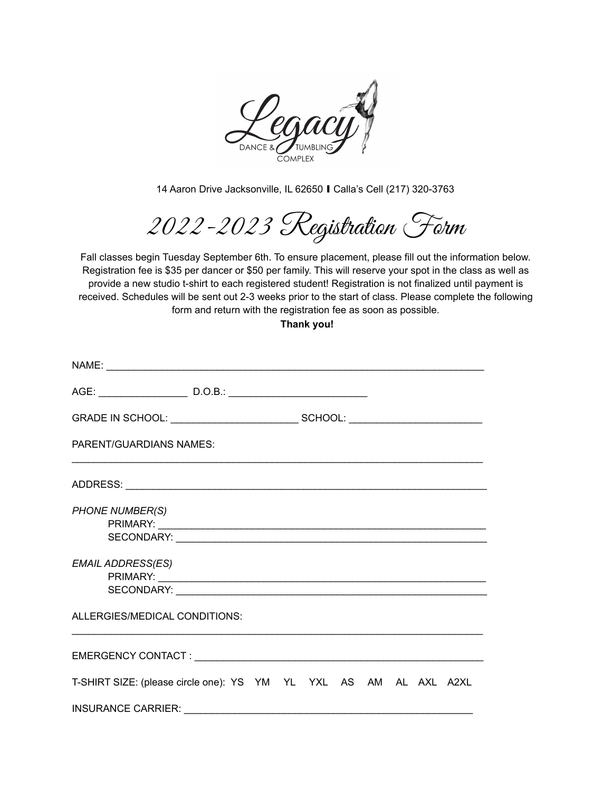

14 Aaron Drive Jacksonville, IL 62650 ∎ Calla's Cell (217) 320-3763

2022-2023 Registration Form

Fall classes begin Tuesday September 6th. To ensure placement, please fill out the information below. Registration fee is \$35 per dancer or \$50 per family. This will reserve your spot in the class as well as provide a new studio t-shirt to each registered student! Registration is not finalized until payment is received. Schedules will be sent out 2-3 weeks prior to the start of class. Please complete the following form and return with the registration fee as soon as possible.

**Thank you!**

| <b>PARENT/GUARDIANS NAMES:</b>                                    |  |  |  |  |  |  |  |  |
|-------------------------------------------------------------------|--|--|--|--|--|--|--|--|
|                                                                   |  |  |  |  |  |  |  |  |
| <b>PHONE NUMBER(S)</b>                                            |  |  |  |  |  |  |  |  |
| <b>EMAIL ADDRESS(ES)</b>                                          |  |  |  |  |  |  |  |  |
| ALLERGIES/MEDICAL CONDITIONS:                                     |  |  |  |  |  |  |  |  |
|                                                                   |  |  |  |  |  |  |  |  |
| T-SHIRT SIZE: (please circle one): YS YM YL YXL AS AM AL AXL A2XL |  |  |  |  |  |  |  |  |
|                                                                   |  |  |  |  |  |  |  |  |